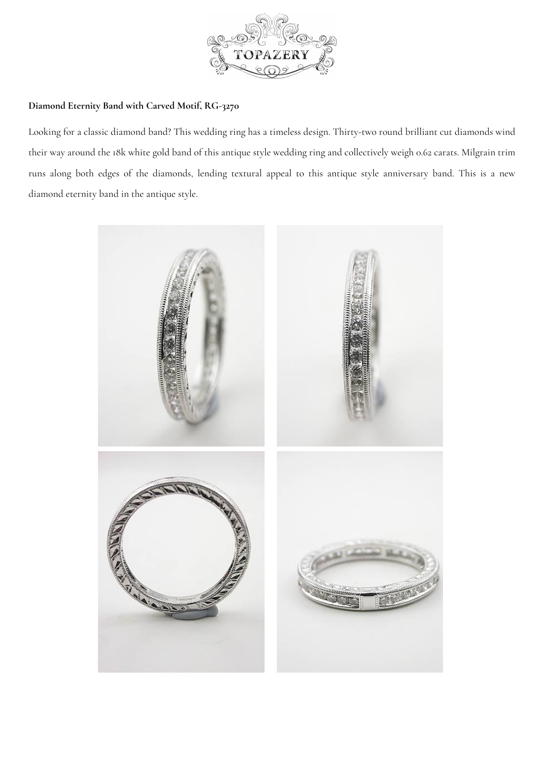

## **Diamond Eternity Band with Carved Motif, [RG-3270](https://www.topazery.com)**

Looking for a classic diamond band? This wedding ring has a timeless design. Thirty-two round brilliant cut diamonds wind their way around the 18k white gold band of this antique style wedding ring and collectively weigh 0.62 carats. Milgrain trim runs along both edges of the diamonds, lending textural appeal to this antique style anniversary band. This is a new diamond eternity band in the antique style.

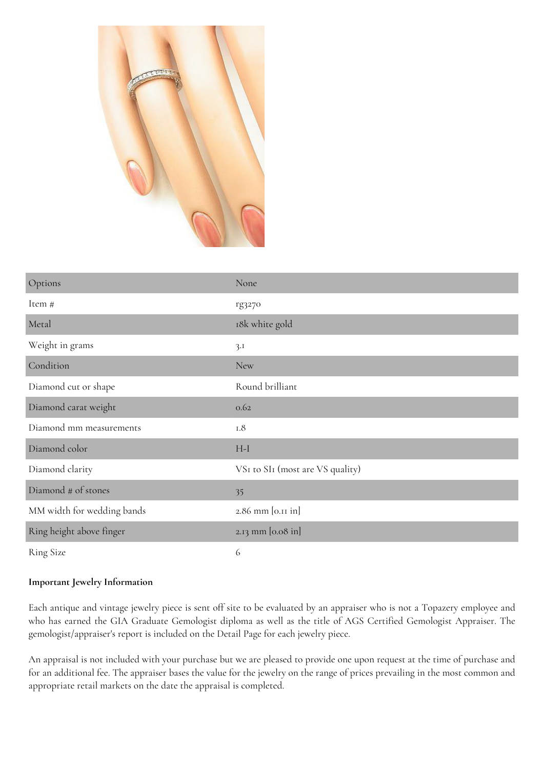

| Options                    | None                             |
|----------------------------|----------------------------------|
| Item #                     | rg3270                           |
| Metal                      | 18k white gold                   |
| Weight in grams            | 3.1                              |
| Condition                  | <b>New</b>                       |
| Diamond cut or shape       | Round brilliant                  |
| Diamond carat weight       | 0.62                             |
| Diamond mm measurements    | $1.8$                            |
| Diamond color              | $H-I$                            |
| Diamond clarity            | VSI to SII (most are VS quality) |
| Diamond # of stones        | 35                               |
| MM width for wedding bands | 2.86 mm [0.11 in]                |
| Ring height above finger   | 2.13 mm [0.08 in]                |
| <b>Ring Size</b>           | 6                                |

## **Important Jewelry Information**

Each antique and vintage jewelry piece is sent off site to be evaluated by an appraiser who is not a Topazery employee and who has earned the GIA Graduate Gemologist diploma as well as the title of AGS Certified Gemologist Appraiser. The gemologist/appraiser's report is included on the Detail Page for each jewelry piece.

An appraisal is not included with your purchase but we are pleased to provide one upon request at the time of purchase and for an additional fee. The appraiser bases the value for the jewelry on the range of prices prevailing in the most common and appropriate retail markets on the date the appraisal is completed.